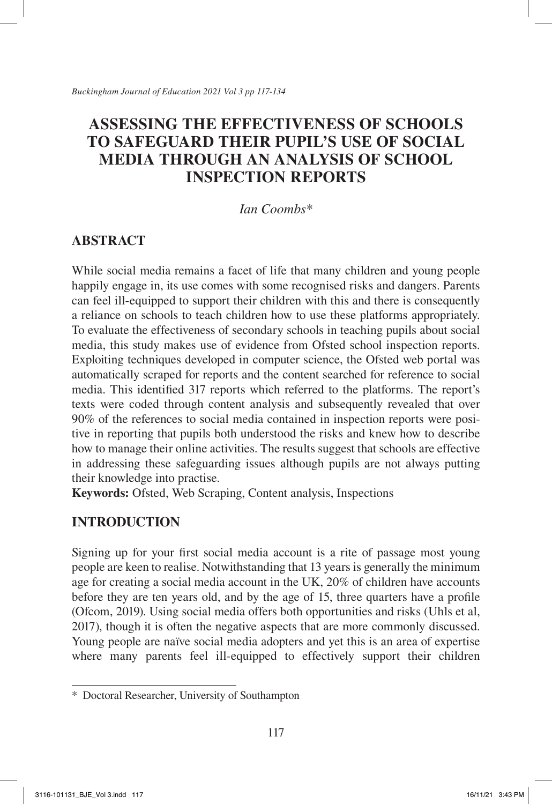# **ASSESSING THE EFFECTIVENESS OF SCHOOLS TO SAFEGUARD THEIR PUPIL'S USE OF SOCIAL MEDIA THROUGH AN ANALYSIS OF SCHOOL INSPECTION REPORTS**

*Ian Coombs\**

# **ABSTRACT**

While social media remains a facet of life that many children and young people happily engage in, its use comes with some recognised risks and dangers. Parents can feel ill-equipped to support their children with this and there is consequently a reliance on schools to teach children how to use these platforms appropriately. To evaluate the effectiveness of secondary schools in teaching pupils about social media, this study makes use of evidence from Ofsted school inspection reports. Exploiting techniques developed in computer science, the Ofsted web portal was automatically scraped for reports and the content searched for reference to social media. This identified 317 reports which referred to the platforms. The report's texts were coded through content analysis and subsequently revealed that over 90% of the references to social media contained in inspection reports were positive in reporting that pupils both understood the risks and knew how to describe how to manage their online activities. The results suggest that schools are effective in addressing these safeguarding issues although pupils are not always putting their knowledge into practise.

**Keywords:** Ofsted, Web Scraping, Content analysis, Inspections

# **INTRODUCTION**

Signing up for your first social media account is a rite of passage most young people are keen to realise. Notwithstanding that 13 years is generally the minimum age for creating a social media account in the UK, 20% of children have accounts before they are ten years old, and by the age of 15, three quarters have a profile (Ofcom, 2019). Using social media offers both opportunities and risks (Uhls et al, 2017), though it is often the negative aspects that are more commonly discussed. Young people are naïve social media adopters and yet this is an area of expertise where many parents feel ill-equipped to effectively support their children

<sup>\*</sup> Doctoral Researcher, University of Southampton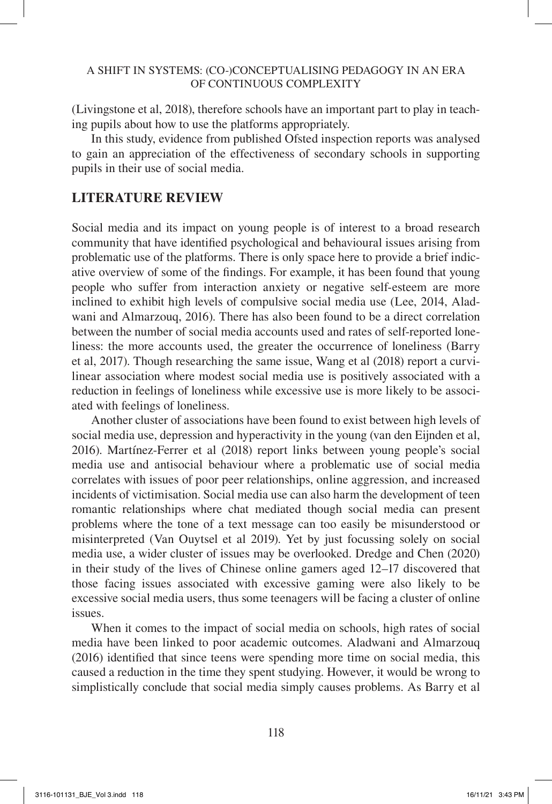(Livingstone et al, 2018), therefore schools have an important part to play in teaching pupils about how to use the platforms appropriately.

In this study, evidence from published Ofsted inspection reports was analysed to gain an appreciation of the effectiveness of secondary schools in supporting pupils in their use of social media.

## **LITERATURE REVIEW**

Social media and its impact on young people is of interest to a broad research community that have identified psychological and behavioural issues arising from problematic use of the platforms. There is only space here to provide a brief indicative overview of some of the findings. For example, it has been found that young people who suffer from interaction anxiety or negative self-esteem are more inclined to exhibit high levels of compulsive social media use (Lee, 2014, Aladwani and Almarzouq, 2016). There has also been found to be a direct correlation between the number of social media accounts used and rates of self-reported loneliness: the more accounts used, the greater the occurrence of loneliness (Barry et al, 2017). Though researching the same issue, Wang et al (2018) report a curvilinear association where modest social media use is positively associated with a reduction in feelings of loneliness while excessive use is more likely to be associated with feelings of loneliness.

Another cluster of associations have been found to exist between high levels of social media use, depression and hyperactivity in the young (van den Eijnden et al, 2016). Martínez-Ferrer et al (2018) report links between young people's social media use and antisocial behaviour where a problematic use of social media correlates with issues of poor peer relationships, online aggression, and increased incidents of victimisation. Social media use can also harm the development of teen romantic relationships where chat mediated though social media can present problems where the tone of a text message can too easily be misunderstood or misinterpreted (Van Ouytsel et al 2019). Yet by just focussing solely on social media use, a wider cluster of issues may be overlooked. Dredge and Chen (2020) in their study of the lives of Chinese online gamers aged 12–17 discovered that those facing issues associated with excessive gaming were also likely to be excessive social media users, thus some teenagers will be facing a cluster of online issues.

When it comes to the impact of social media on schools, high rates of social media have been linked to poor academic outcomes. Aladwani and Almarzouq (2016) identified that since teens were spending more time on social media, this caused a reduction in the time they spent studying. However, it would be wrong to simplistically conclude that social media simply causes problems. As Barry et al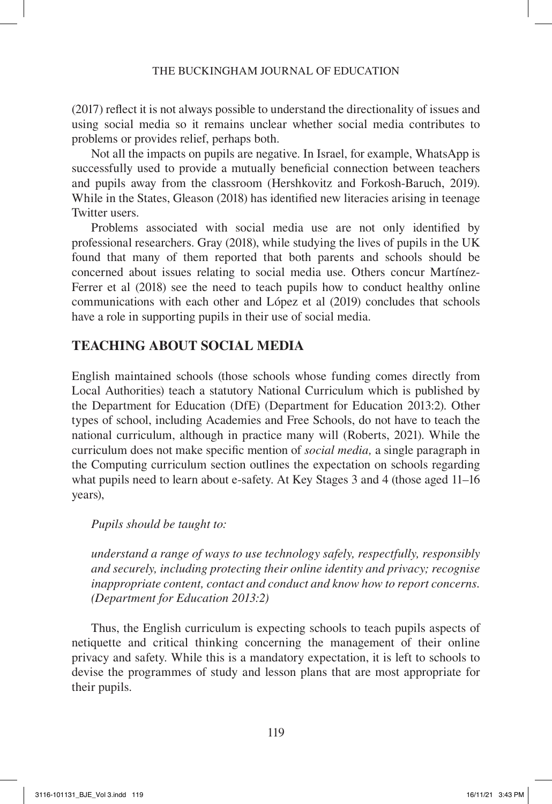(2017) reflect it is not always possible to understand the directionality of issues and using social media so it remains unclear whether social media contributes to problems or provides relief, perhaps both.

Not all the impacts on pupils are negative. In Israel, for example, WhatsApp is successfully used to provide a mutually beneficial connection between teachers and pupils away from the classroom (Hershkovitz and Forkosh-Baruch, 2019). While in the States, Gleason (2018) has identified new literacies arising in teenage Twitter users.

Problems associated with social media use are not only identified by professional researchers. Gray (2018), while studying the lives of pupils in the UK found that many of them reported that both parents and schools should be concerned about issues relating to social media use. Others concur Martínez-Ferrer et al (2018) see the need to teach pupils how to conduct healthy online communications with each other and López et al (2019) concludes that schools have a role in supporting pupils in their use of social media.

# **TEACHING ABOUT SOCIAL MEDIA**

English maintained schools (those schools whose funding comes directly from Local Authorities) teach a statutory National Curriculum which is published by the Department for Education (DfE) (Department for Education 2013:2). Other types of school, including Academies and Free Schools, do not have to teach the national curriculum, although in practice many will (Roberts, 2021). While the curriculum does not make specific mention of *social media,* a single paragraph in the Computing curriculum section outlines the expectation on schools regarding what pupils need to learn about e-safety. At Key Stages 3 and 4 (those aged 11–16 years),

## *Pupils should be taught to:*

*understand a range of ways to use technology safely, respectfully, responsibly and securely, including protecting their online identity and privacy; recognise inappropriate content, contact and conduct and know how to report concerns. (Department for Education 2013:2)*

Thus, the English curriculum is expecting schools to teach pupils aspects of netiquette and critical thinking concerning the management of their online privacy and safety. While this is a mandatory expectation, it is left to schools to devise the programmes of study and lesson plans that are most appropriate for their pupils.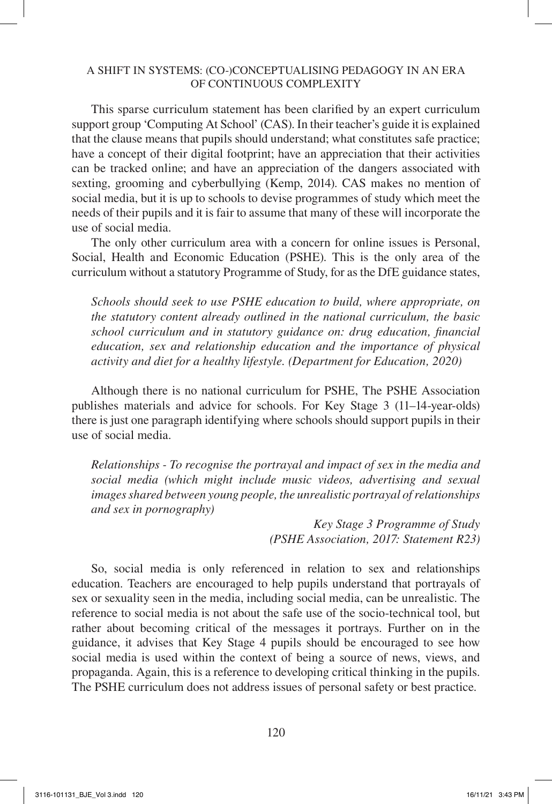This sparse curriculum statement has been clarified by an expert curriculum support group 'Computing At School' (CAS). In their teacher's guide it is explained that the clause means that pupils should understand; what constitutes safe practice; have a concept of their digital footprint; have an appreciation that their activities can be tracked online; and have an appreciation of the dangers associated with sexting, grooming and cyberbullying (Kemp, 2014). CAS makes no mention of social media, but it is up to schools to devise programmes of study which meet the needs of their pupils and it is fair to assume that many of these will incorporate the use of social media.

The only other curriculum area with a concern for online issues is Personal, Social, Health and Economic Education (PSHE). This is the only area of the curriculum without a statutory Programme of Study, for as the DfE guidance states,

*Schools should seek to use PSHE education to build, where appropriate, on the statutory content already outlined in the national curriculum, the basic school curriculum and in statutory guidance on: drug education, financial education, sex and relationship education and the importance of physical activity and diet for a healthy lifestyle. (Department for Education, 2020)*

Although there is no national curriculum for PSHE, The PSHE Association publishes materials and advice for schools. For Key Stage 3 (11–14-year-olds) there is just one paragraph identifying where schools should support pupils in their use of social media.

*Relationships - To recognise the portrayal and impact of sex in the media and social media (which might include music videos, advertising and sexual images shared between young people, the unrealistic portrayal of relationships and sex in pornography)*

> *Key Stage 3 Programme of Study (PSHE Association, 2017: Statement R23)*

So, social media is only referenced in relation to sex and relationships education. Teachers are encouraged to help pupils understand that portrayals of sex or sexuality seen in the media, including social media, can be unrealistic. The reference to social media is not about the safe use of the socio-technical tool, but rather about becoming critical of the messages it portrays. Further on in the guidance, it advises that Key Stage 4 pupils should be encouraged to see how social media is used within the context of being a source of news, views, and propaganda. Again, this is a reference to developing critical thinking in the pupils. The PSHE curriculum does not address issues of personal safety or best practice.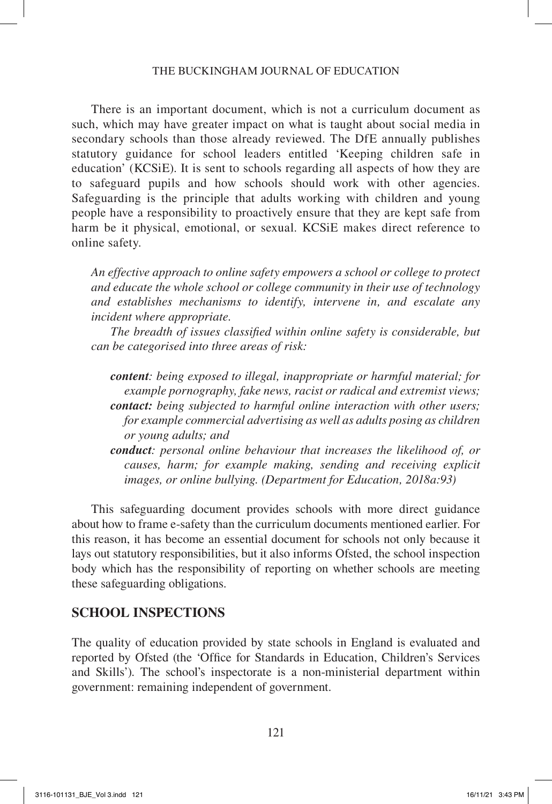There is an important document, which is not a curriculum document as such, which may have greater impact on what is taught about social media in secondary schools than those already reviewed. The DfE annually publishes statutory guidance for school leaders entitled 'Keeping children safe in education' (KCSiE). It is sent to schools regarding all aspects of how they are to safeguard pupils and how schools should work with other agencies. Safeguarding is the principle that adults working with children and young people have a responsibility to proactively ensure that they are kept safe from harm be it physical, emotional, or sexual. KCSiE makes direct reference to online safety.

*An effective approach to online safety empowers a school or college to protect and educate the whole school or college community in their use of technology and establishes mechanisms to identify, intervene in, and escalate any incident where appropriate.*

*The breadth of issues classified within online safety is considerable, but can be categorised into three areas of risk:*

*content: being exposed to illegal, inappropriate or harmful material; for example pornography, fake news, racist or radical and extremist views; contact: being subjected to harmful online interaction with other users; for example commercial advertising as well as adults posing as children or young adults; and*

*conduct: personal online behaviour that increases the likelihood of, or causes, harm; for example making, sending and receiving explicit images, or online bullying. (Department for Education, 2018a:93)*

This safeguarding document provides schools with more direct guidance about how to frame e-safety than the curriculum documents mentioned earlier. For this reason, it has become an essential document for schools not only because it lays out statutory responsibilities, but it also informs Ofsted, the school inspection body which has the responsibility of reporting on whether schools are meeting these safeguarding obligations.

## **SCHOOL INSPECTIONS**

The quality of education provided by state schools in England is evaluated and reported by Ofsted (the 'Office for Standards in Education, Children's Services and Skills'). The school's inspectorate is a non-ministerial department within government: remaining independent of government.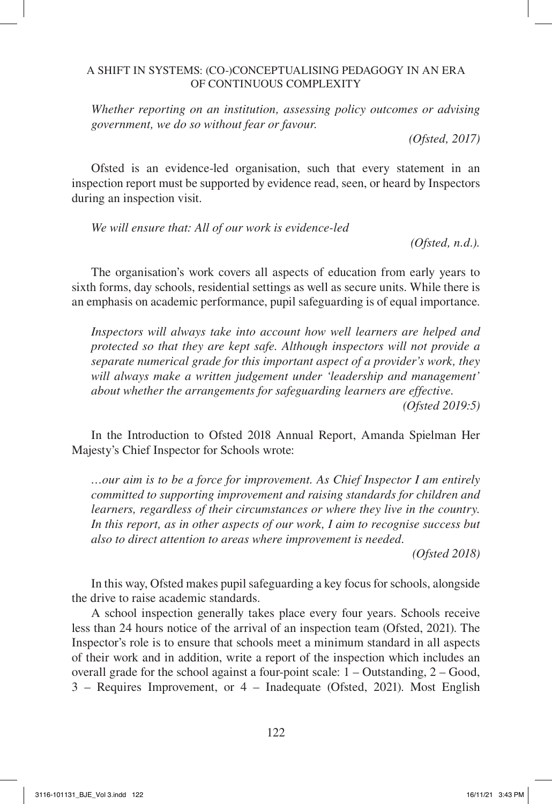*Whether reporting on an institution, assessing policy outcomes or advising government, we do so without fear or favour.*

*(Ofsted, 2017)*

Ofsted is an evidence-led organisation, such that every statement in an inspection report must be supported by evidence read, seen, or heard by Inspectors during an inspection visit.

*We will ensure that: All of our work is evidence-led*

*(Ofsted, n.d.).*

The organisation's work covers all aspects of education from early years to sixth forms, day schools, residential settings as well as secure units. While there is an emphasis on academic performance, pupil safeguarding is of equal importance.

*Inspectors will always take into account how well learners are helped and protected so that they are kept safe. Although inspectors will not provide a separate numerical grade for this important aspect of a provider's work, they will always make a written judgement under 'leadership and management' about whether the arrangements for safeguarding learners are effective.*

*(Ofsted 2019:5)*

In the Introduction to Ofsted 2018 Annual Report, Amanda Spielman Her Majesty's Chief Inspector for Schools wrote:

*…our aim is to be a force for improvement. As Chief Inspector I am entirely committed to supporting improvement and raising standards for children and learners, regardless of their circumstances or where they live in the country. In this report, as in other aspects of our work, I aim to recognise success but also to direct attention to areas where improvement is needed.*

*(Ofsted 2018)*

In this way, Ofsted makes pupil safeguarding a key focus for schools, alongside the drive to raise academic standards.

A school inspection generally takes place every four years. Schools receive less than 24 hours notice of the arrival of an inspection team (Ofsted, 2021). The Inspector's role is to ensure that schools meet a minimum standard in all aspects of their work and in addition, write a report of the inspection which includes an overall grade for the school against a four-point scale: 1 – Outstanding, 2 – Good, 3 – Requires Improvement, or 4 – Inadequate (Ofsted, 2021). Most English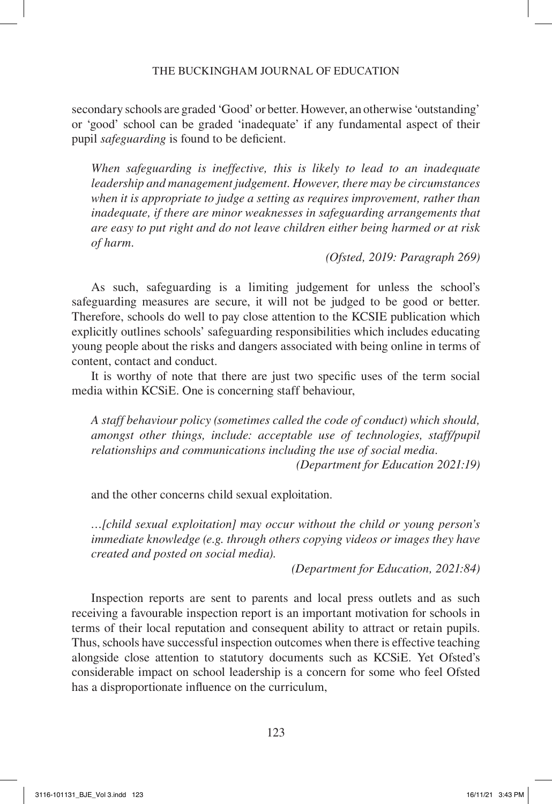secondary schools are graded 'Good' or better. However, an otherwise 'outstanding' or 'good' school can be graded 'inadequate' if any fundamental aspect of their pupil *safeguarding* is found to be deficient.

*When safeguarding is ineffective, this is likely to lead to an inadequate leadership and management judgement. However, there may be circumstances when it is appropriate to judge a setting as requires improvement, rather than inadequate, if there are minor weaknesses in safeguarding arrangements that are easy to put right and do not leave children either being harmed or at risk of harm.*

*(Ofsted, 2019: Paragraph 269)*

As such, safeguarding is a limiting judgement for unless the school's safeguarding measures are secure, it will not be judged to be good or better. Therefore, schools do well to pay close attention to the KCSIE publication which explicitly outlines schools' safeguarding responsibilities which includes educating young people about the risks and dangers associated with being online in terms of content, contact and conduct.

It is worthy of note that there are just two specific uses of the term social media within KCSiE. One is concerning staff behaviour,

*A staff behaviour policy (sometimes called the code of conduct) which should, amongst other things, include: acceptable use of technologies, staff/pupil relationships and communications including the use of social media.*

*(Department for Education 2021:19)*

and the other concerns child sexual exploitation.

*…[child sexual exploitation] may occur without the child or young person's immediate knowledge (e.g. through others copying videos or images they have created and posted on social media).*

*(Department for Education, 2021:84)*

Inspection reports are sent to parents and local press outlets and as such receiving a favourable inspection report is an important motivation for schools in terms of their local reputation and consequent ability to attract or retain pupils. Thus, schools have successful inspection outcomes when there is effective teaching alongside close attention to statutory documents such as KCSiE. Yet Ofsted's considerable impact on school leadership is a concern for some who feel Ofsted has a disproportionate influence on the curriculum,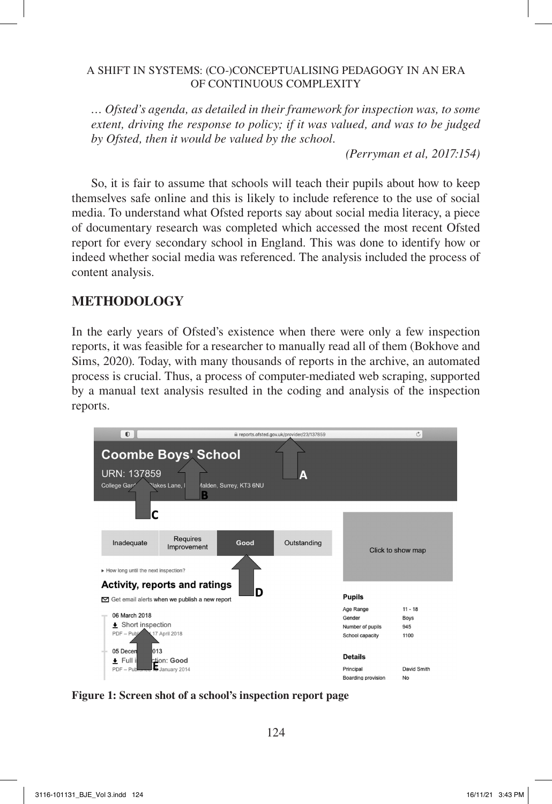*… Ofsted's agenda, as detailed in their framework for inspection was, to some extent, driving the response to policy; if it was valued, and was to be judged by Ofsted, then it would be valued by the school.*

*(Perryman et al, 2017:154)*

So, it is fair to assume that schools will teach their pupils about how to keep themselves safe online and this is likely to include reference to the use of social media. To understand what Ofsted reports say about social media literacy, a piece of documentary research was completed which accessed the most recent Ofsted report for every secondary school in England. This was done to identify how or indeed whether social media was referenced. The analysis included the process of content analysis.

## **METHODOLOGY**

In the early years of Ofsted's existence when there were only a few inspection reports, it was feasible for a researcher to manually read all of them (Bokhove and Sims, 2020). Today, with many thousands of reports in the archive, an automated process is crucial. Thus, a process of computer-mediated web scraping, supported by a manual text analysis resulted in the coding and analysis of the inspection reports.



**Figure 1: Screen shot of a school's inspection report page**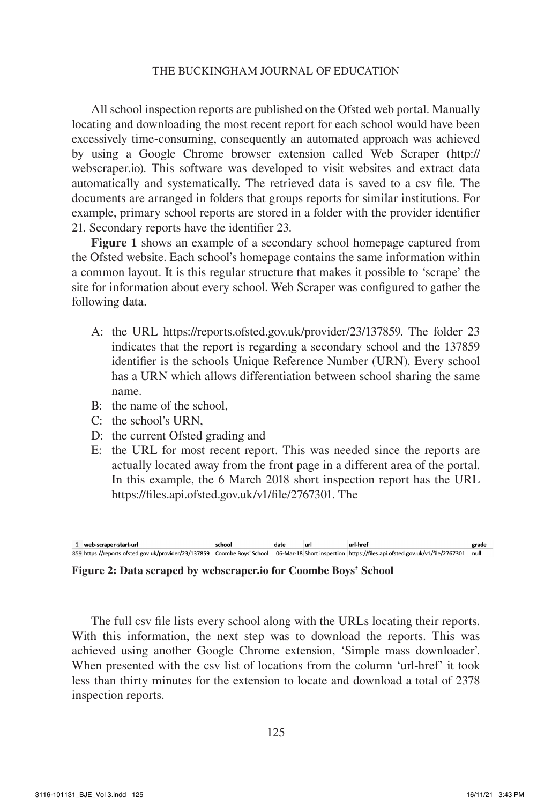All school inspection reports are published on the Ofsted web portal. Manually locating and downloading the most recent report for each school would have been excessively time-consuming, consequently an automated approach was achieved by using a Google Chrome browser extension called Web Scraper (http:// webscraper.io). This software was developed to visit websites and extract data automatically and systematically. The retrieved data is saved to a csv file. The documents are arranged in folders that groups reports for similar institutions. For example, primary school reports are stored in a folder with the provider identifier 21. Secondary reports have the identifier 23.

**Figure 1** shows an example of a secondary school homepage captured from the Ofsted website. Each school's homepage contains the same information within a common layout. It is this regular structure that makes it possible to 'scrape' the site for information about every school. Web Scraper was configured to gather the following data.

- A: the URL https://reports.ofsted.gov.uk/provider/23/137859. The folder 23 indicates that the report is regarding a secondary school and the 137859 identifier is the schools Unique Reference Number (URN). Every school has a URN which allows differentiation between school sharing the same name.
- B: the name of the school,
- C: the school's URN,
- D: the current Ofsted grading and
- E: the URL for most recent report. This was needed since the reports are actually located away from the front page in a different area of the portal. In this example, the 6 March 2018 short inspection report has the URL https://files.api.ofsted.gov.uk/v1/file/2767301. The



**Figure 2: Data scraped by webscraper.io for Coombe Boys' School**

The full csv file lists every school along with the URLs locating their reports. With this information, the next step was to download the reports. This was achieved using another Google Chrome extension, 'Simple mass downloader'. When presented with the csv list of locations from the column 'url-href' it took less than thirty minutes for the extension to locate and download a total of 2378 inspection reports.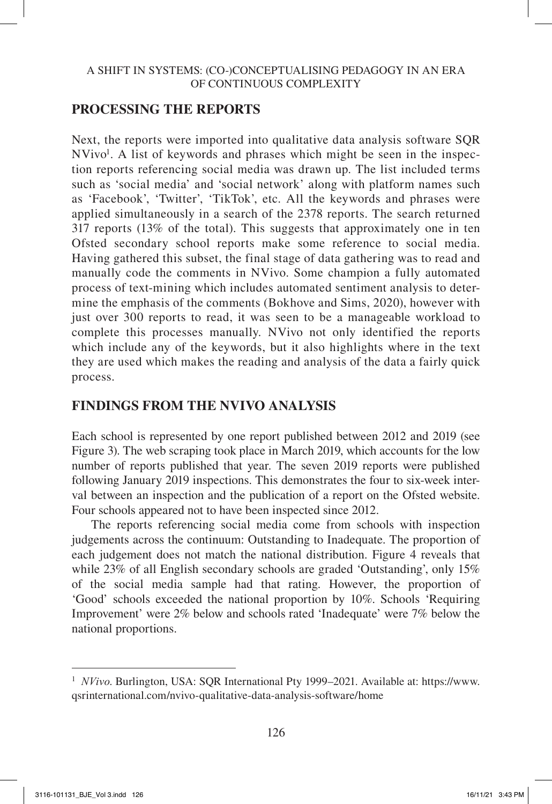# **PROCESSING THE REPORTS**

Next, the reports were imported into qualitative data analysis software SQR NVivo<sup>1</sup>. A list of keywords and phrases which might be seen in the inspection reports referencing social media was drawn up. The list included terms such as 'social media' and 'social network' along with platform names such as 'Facebook', 'Twitter', 'TikTok', etc. All the keywords and phrases were applied simultaneously in a search of the 2378 reports. The search returned 317 reports (13% of the total). This suggests that approximately one in ten Ofsted secondary school reports make some reference to social media. Having gathered this subset, the final stage of data gathering was to read and manually code the comments in NVivo. Some champion a fully automated process of text-mining which includes automated sentiment analysis to determine the emphasis of the comments (Bokhove and Sims, 2020), however with just over 300 reports to read, it was seen to be a manageable workload to complete this processes manually. NVivo not only identified the reports which include any of the keywords, but it also highlights where in the text they are used which makes the reading and analysis of the data a fairly quick process.

# **FINDINGS FROM THE NVIVO ANALYSIS**

Each school is represented by one report published between 2012 and 2019 (see Figure 3). The web scraping took place in March 2019, which accounts for the low number of reports published that year. The seven 2019 reports were published following January 2019 inspections. This demonstrates the four to six-week interval between an inspection and the publication of a report on the Ofsted website. Four schools appeared not to have been inspected since 2012.

The reports referencing social media come from schools with inspection judgements across the continuum: Outstanding to Inadequate. The proportion of each judgement does not match the national distribution. Figure 4 reveals that while 23% of all English secondary schools are graded 'Outstanding', only 15% of the social media sample had that rating. However, the proportion of 'Good' schools exceeded the national proportion by 10%. Schools 'Requiring Improvement' were 2% below and schools rated 'Inadequate' were 7% below the national proportions.

<sup>1</sup> *NVivo*. Burlington, USA: SQR International Pty 1999–2021. Available at: https://www. qsrinternational.com/nvivo-qualitative-data-analysis-software/home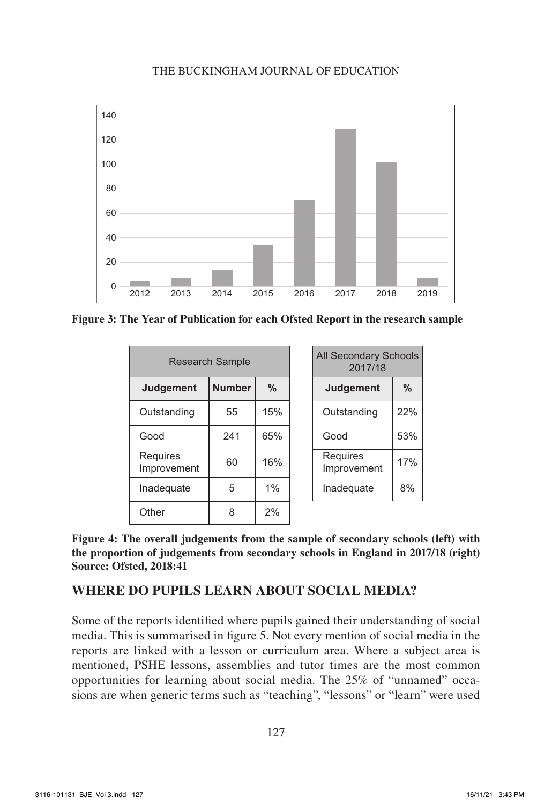

**Figure 3: The Year of Publication for each Ofsted Report in the research sample**

| <b>Research Sample</b>         |               | <b>All Secondary Schools</b><br>2017/18 |                                |      |
|--------------------------------|---------------|-----------------------------------------|--------------------------------|------|
| <b>Judgement</b>               | <b>Number</b> | $\frac{0}{0}$                           | <b>Judgement</b>               | $\%$ |
| Outstanding                    | 55            | 15%                                     | Outstanding                    | 22%  |
| Good                           | 241           | 65%                                     | Good                           | 53%  |
| <b>Requires</b><br>Improvement | 60            | 16%                                     | <b>Requires</b><br>Improvement | 17%  |
| Inadequate                     | 5             | 1%                                      | Inadequate                     | 8%   |
| Other                          | 8             | 2%                                      |                                |      |

| <b>All Secondary Schools</b><br>2017/18 |     |  |
|-----------------------------------------|-----|--|
| <b>Judgement</b>                        | %   |  |
| Outstanding                             | 22% |  |
| Good                                    | 53% |  |
| Requires<br>Improvement                 | 17% |  |
| Inadequate                              | 8%  |  |

**Figure 4: The overall judgements from the sample of secondary schools (left) with the proportion of judgements from secondary schools in England in 2017/18 (right) Source: Ofsted, 2018:41**

## **WHERE DO PUPILS LEARN ABOUT SOCIAL MEDIA?**

Some of the reports identified where pupils gained their understanding of social media. This is summarised in figure 5. Not every mention of social media in the reports are linked with a lesson or curriculum area. Where a subject area is mentioned, PSHE lessons, assemblies and tutor times are the most common opportunities for learning about social media. The 25% of "unnamed" occasions are when generic terms such as "teaching", "lessons" or "learn" were used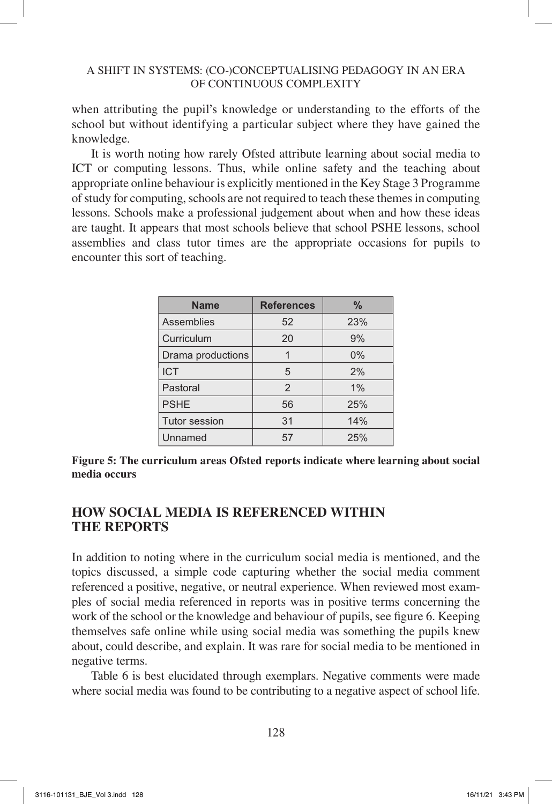when attributing the pupil's knowledge or understanding to the efforts of the school but without identifying a particular subject where they have gained the knowledge.

It is worth noting how rarely Ofsted attribute learning about social media to ICT or computing lessons. Thus, while online safety and the teaching about appropriate online behaviour is explicitly mentioned in the Key Stage 3 Programme of study for computing, schools are not required to teach these themes in computing lessons. Schools make a professional judgement about when and how these ideas are taught. It appears that most schools believe that school PSHE lessons, school assemblies and class tutor times are the appropriate occasions for pupils to encounter this sort of teaching.

| <b>Name</b>          | <b>References</b> | $\%$  |
|----------------------|-------------------|-------|
| <b>Assemblies</b>    | 52                | 23%   |
| Curriculum           | 20                | 9%    |
| Drama productions    |                   | $0\%$ |
| <b>ICT</b>           | 5                 | 2%    |
| Pastoral             | 2                 | $1\%$ |
| <b>PSHE</b>          | 56                | 25%   |
| <b>Tutor session</b> | 31                | 14%   |
| Unnamed              | 57                | 25%   |

**Figure 5: The curriculum areas Ofsted reports indicate where learning about social media occurs**

## **HOW SOCIAL MEDIA IS REFERENCED WITHIN THE REPORTS**

In addition to noting where in the curriculum social media is mentioned, and the topics discussed, a simple code capturing whether the social media comment referenced a positive, negative, or neutral experience. When reviewed most examples of social media referenced in reports was in positive terms concerning the work of the school or the knowledge and behaviour of pupils, see figure 6. Keeping themselves safe online while using social media was something the pupils knew about, could describe, and explain. It was rare for social media to be mentioned in negative terms.

Table 6 is best elucidated through exemplars. Negative comments were made where social media was found to be contributing to a negative aspect of school life.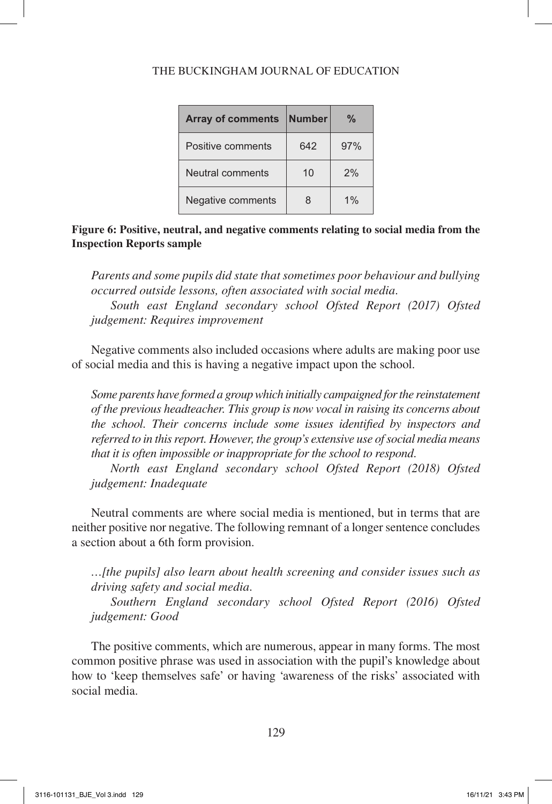| <b>Array of comments</b> | Number | ℀     |
|--------------------------|--------|-------|
| Positive comments        | 642    | 97%   |
| Neutral comments         | 10     | 2%    |
| Negative comments        | 8      | $1\%$ |

**Figure 6: Positive, neutral, and negative comments relating to social media from the Inspection Reports sample**

*Parents and some pupils did state that sometimes poor behaviour and bullying occurred outside lessons, often associated with social media.*

*South east England secondary school Ofsted Report (2017) Ofsted judgement: Requires improvement*

Negative comments also included occasions where adults are making poor use of social media and this is having a negative impact upon the school.

Some parents have formed a group which initially campaigned for the reinstatement *of the previous headteacher. This group is now vocal in raising its concerns about the school. Their concerns include some issues identified by inspectors and referred to in this report. However, the group's extensive use of social media means that it is often impossible or inappropriate for the school to respond.*

*North east England secondary school Ofsted Report (2018) Ofsted judgement: Inadequate*

Neutral comments are where social media is mentioned, but in terms that are neither positive nor negative. The following remnant of a longer sentence concludes a section about a 6th form provision.

*…[the pupils] also learn about health screening and consider issues such as driving safety and social media.*

*Southern England secondary school Ofsted Report (2016) Ofsted judgement: Good*

The positive comments, which are numerous, appear in many forms. The most common positive phrase was used in association with the pupil's knowledge about how to 'keep themselves safe' or having 'awareness of the risks' associated with social media.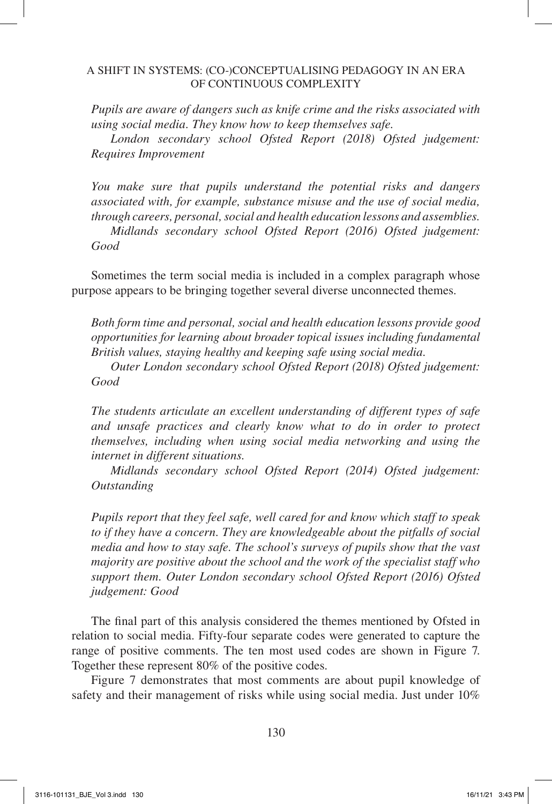*Pupils are aware of dangers such as knife crime and the risks associated with using social media. They know how to keep themselves safe.*

*London secondary school Ofsted Report (2018) Ofsted judgement: Requires Improvement*

*You make sure that pupils understand the potential risks and dangers associated with, for example, substance misuse and the use of social media, through careers, personal, social and health education lessons and assemblies. Midlands secondary school Ofsted Report (2016) Ofsted judgement: Good*

Sometimes the term social media is included in a complex paragraph whose purpose appears to be bringing together several diverse unconnected themes.

*Both form time and personal, social and health education lessons provide good opportunities for learning about broader topical issues including fundamental British values, staying healthy and keeping safe using social media.*

*Outer London secondary school Ofsted Report (2018) Ofsted judgement: Good*

*The students articulate an excellent understanding of different types of safe and unsafe practices and clearly know what to do in order to protect themselves, including when using social media networking and using the internet in different situations.*

*Midlands secondary school Ofsted Report (2014) Ofsted judgement: Outstanding*

*Pupils report that they feel safe, well cared for and know which staff to speak*  to if they have a concern. They are knowledgeable about the pitfalls of social *media and how to stay safe. The school's surveys of pupils show that the vast majority are positive about the school and the work of the specialist staff who support them. Outer London secondary school Ofsted Report (2016) Ofsted judgement: Good*

The final part of this analysis considered the themes mentioned by Ofsted in relation to social media. Fifty-four separate codes were generated to capture the range of positive comments. The ten most used codes are shown in Figure 7. Together these represent 80% of the positive codes.

Figure 7 demonstrates that most comments are about pupil knowledge of safety and their management of risks while using social media. Just under 10%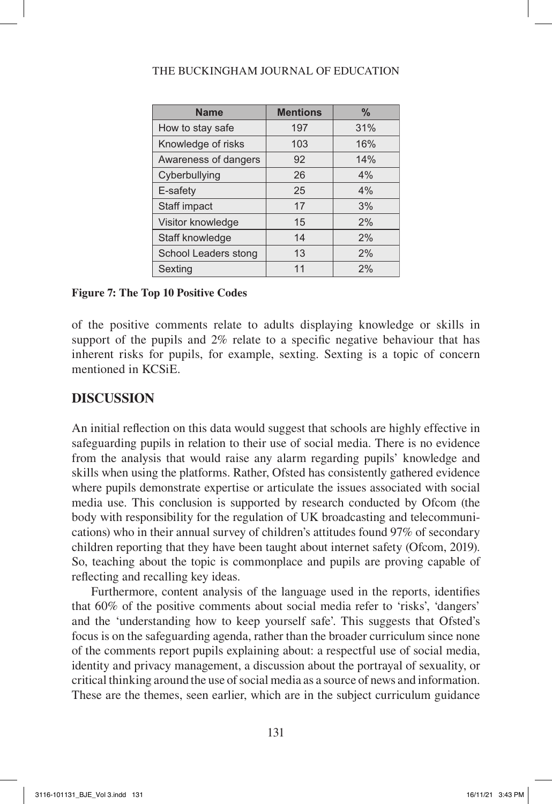| <b>Name</b>          | <b>Mentions</b> | $\frac{0}{0}$ |
|----------------------|-----------------|---------------|
| How to stay safe     | 197             | 31%           |
| Knowledge of risks   | 103             | 16%           |
| Awareness of dangers | 92              | 14%           |
| Cyberbullying        | 26              | 4%            |
| E-safety             | 25              | 4%            |
| Staff impact         | 17              | 3%            |
| Visitor knowledge    | 15              | 2%            |
| Staff knowledge      | 14              | 2%            |
| School Leaders stong | 13              | 2%            |
| Sexting              | 11              | 2%            |

## **Figure 7: The Top 10 Positive Codes**

of the positive comments relate to adults displaying knowledge or skills in support of the pupils and 2% relate to a specific negative behaviour that has inherent risks for pupils, for example, sexting. Sexting is a topic of concern mentioned in KCSiE.

## **DISCUSSION**

An initial reflection on this data would suggest that schools are highly effective in safeguarding pupils in relation to their use of social media. There is no evidence from the analysis that would raise any alarm regarding pupils' knowledge and skills when using the platforms. Rather, Ofsted has consistently gathered evidence where pupils demonstrate expertise or articulate the issues associated with social media use. This conclusion is supported by research conducted by Ofcom (the body with responsibility for the regulation of UK broadcasting and telecommunications) who in their annual survey of children's attitudes found 97% of secondary children reporting that they have been taught about internet safety (Ofcom, 2019). So, teaching about the topic is commonplace and pupils are proving capable of reflecting and recalling key ideas.

Furthermore, content analysis of the language used in the reports, identifies that 60% of the positive comments about social media refer to 'risks', 'dangers' and the 'understanding how to keep yourself safe'. This suggests that Ofsted's focus is on the safeguarding agenda, rather than the broader curriculum since none of the comments report pupils explaining about: a respectful use of social media, identity and privacy management, a discussion about the portrayal of sexuality, or critical thinking around the use of social media as a source of news and information. These are the themes, seen earlier, which are in the subject curriculum guidance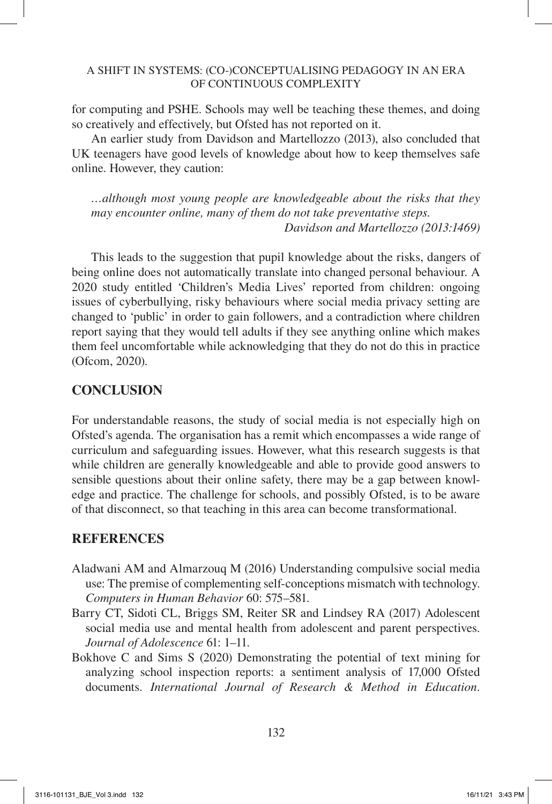for computing and PSHE. Schools may well be teaching these themes, and doing so creatively and effectively, but Ofsted has not reported on it.

An earlier study from Davidson and Martellozzo (2013), also concluded that UK teenagers have good levels of knowledge about how to keep themselves safe online. However, they caution:

*…although most young people are knowledgeable about the risks that they may encounter online, many of them do not take preventative steps. Davidson and Martellozzo (2013:1469)*

This leads to the suggestion that pupil knowledge about the risks, dangers of being online does not automatically translate into changed personal behaviour. A 2020 study entitled 'Children's Media Lives' reported from children: ongoing issues of cyberbullying, risky behaviours where social media privacy setting are changed to 'public' in order to gain followers, and a contradiction where children report saying that they would tell adults if they see anything online which makes them feel uncomfortable while acknowledging that they do not do this in practice (Ofcom, 2020).

## **CONCLUSION**

For understandable reasons, the study of social media is not especially high on Ofsted's agenda. The organisation has a remit which encompasses a wide range of curriculum and safeguarding issues. However, what this research suggests is that while children are generally knowledgeable and able to provide good answers to sensible questions about their online safety, there may be a gap between knowledge and practice. The challenge for schools, and possibly Ofsted, is to be aware of that disconnect, so that teaching in this area can become transformational.

## **REFERENCES**

- Aladwani AM and Almarzouq M (2016) Understanding compulsive social media use: The premise of complementing self-conceptions mismatch with technology. *Computers in Human Behavior* 60: 575–581.
- Barry CT, Sidoti CL, Briggs SM, Reiter SR and Lindsey RA (2017) Adolescent social media use and mental health from adolescent and parent perspectives. *Journal of Adolescence* 61: 1–11.
- Bokhove C and Sims S (2020) Demonstrating the potential of text mining for analyzing school inspection reports: a sentiment analysis of 17,000 Ofsted documents. *International Journal of Research & Method in Education*.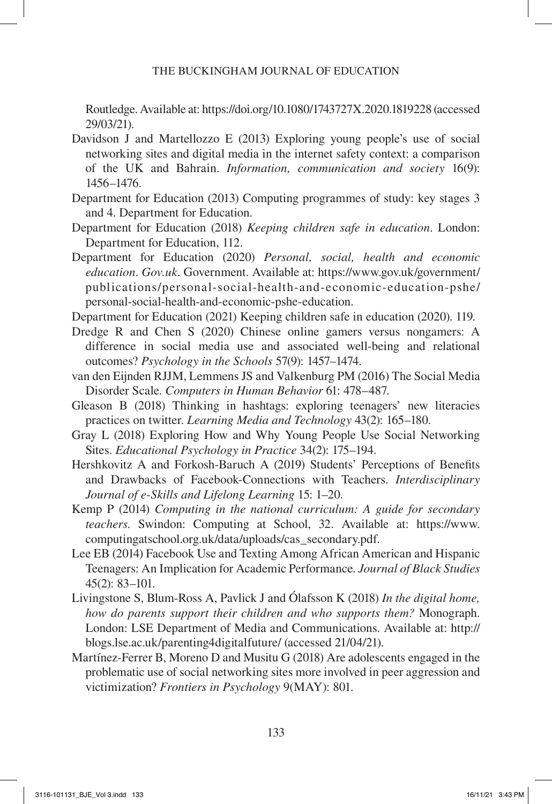Routledge. Available at: https://doi.org/10.1080/1743727X.2020.1819228 (accessed 29/03/21).

- Davidson J and Martellozzo E (2013) Exploring young people's use of social networking sites and digital media in the internet safety context: a comparison of the UK and Bahrain. *Information, communication and society* 16(9): 1456–1476.
- Department for Education (2013) Computing programmes of study: key stages 3 and 4. Department for Education.
- Department for Education (2018) *Keeping children safe in education*. London: Department for Education, 112.
- Department for Education (2020) *Personal, social, health and economic education*. *Gov.uk*. Government. Available at: https://www.gov.uk/government/ publications/personal-social-health-and-economic-education-pshe/ personal-social-health-and-economic-pshe-education.

Department for Education (2021) Keeping children safe in education (2020). 119.

- Dredge R and Chen S (2020) Chinese online gamers versus nongamers: A difference in social media use and associated well-being and relational outcomes? *Psychology in the Schools* 57(9): 1457–1474.
- van den Eijnden RJJM, Lemmens JS and Valkenburg PM (2016) The Social Media Disorder Scale. *Computers in Human Behavior* 61: 478–487.
- Gleason B (2018) Thinking in hashtags: exploring teenagers' new literacies practices on twitter. *Learning Media and Technology* 43(2): 165–180.
- Gray L (2018) Exploring How and Why Young People Use Social Networking Sites. *Educational Psychology in Practice* 34(2): 175–194.
- Hershkovitz A and Forkosh-Baruch A (2019) Students' Perceptions of Benefits and Drawbacks of Facebook-Connections with Teachers. *Interdisciplinary Journal of e-Skills and Lifelong Learning* 15: 1–20.
- Kemp P (2014) *Computing in the national curriculum: A guide for secondary teachers*. Swindon: Computing at School, 32. Available at: https://www. computingatschool.org.uk/data/uploads/cas\_secondary.pdf.
- Lee EB (2014) Facebook Use and Texting Among African American and Hispanic Teenagers: An Implication for Academic Performance. *Journal of Black Studies* 45(2): 83–101.
- Livingstone S, Blum-Ross A, Pavlick J and Ólafsson K (2018) *In the digital home, how do parents support their children and who supports them?* Monograph. London: LSE Department of Media and Communications. Available at: http:// blogs.lse.ac.uk/parenting4digitalfuture/ (accessed 21/04/21).
- Martínez-Ferrer B, Moreno D and Musitu G (2018) Are adolescents engaged in the problematic use of social networking sites more involved in peer aggression and victimization? *Frontiers in Psychology* 9(MAY): 801.